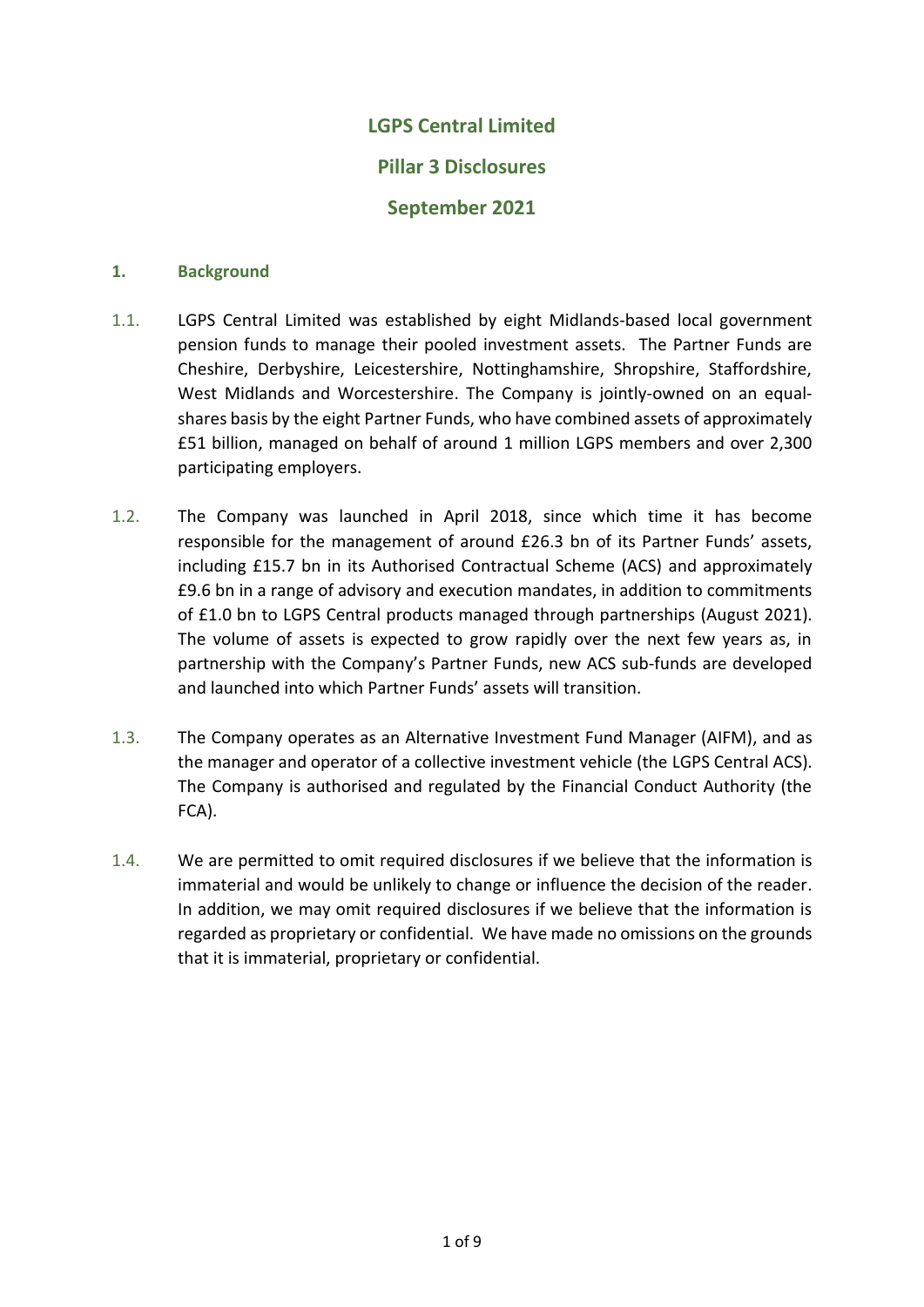# **LGPS Central Limited Pillar 3 Disclosures September 2021**

## **1. Background**

- 1.1. LGPS Central Limited was established by eight Midlands-based local government pension funds to manage their pooled investment assets. The Partner Funds are Cheshire, Derbyshire, Leicestershire, Nottinghamshire, Shropshire, Staffordshire, West Midlands and Worcestershire. The Company is jointly-owned on an equalshares basis by the eight Partner Funds, who have combined assets of approximately £51 billion, managed on behalf of around 1 million LGPS members and over 2,300 participating employers.
- 1.2. The Company was launched in April 2018, since which time it has become responsible for the management of around £26.3 bn of its Partner Funds' assets, including £15.7 bn in its Authorised Contractual Scheme (ACS) and approximately £9.6 bn in a range of advisory and execution mandates, in addition to commitments of £1.0 bn to LGPS Central products managed through partnerships (August 2021). The volume of assets is expected to grow rapidly over the next few years as, in partnership with the Company's Partner Funds, new ACS sub-funds are developed and launched into which Partner Funds' assets will transition.
- 1.3. The Company operates as an Alternative Investment Fund Manager (AIFM), and as the manager and operator of a collective investment vehicle (the LGPS Central ACS). The Company is authorised and regulated by the Financial Conduct Authority (the FCA).
- 1.4. We are permitted to omit required disclosures if we believe that the information is immaterial and would be unlikely to change or influence the decision of the reader. In addition, we may omit required disclosures if we believe that the information is regarded as proprietary or confidential. We have made no omissions on the grounds that it is immaterial, proprietary or confidential.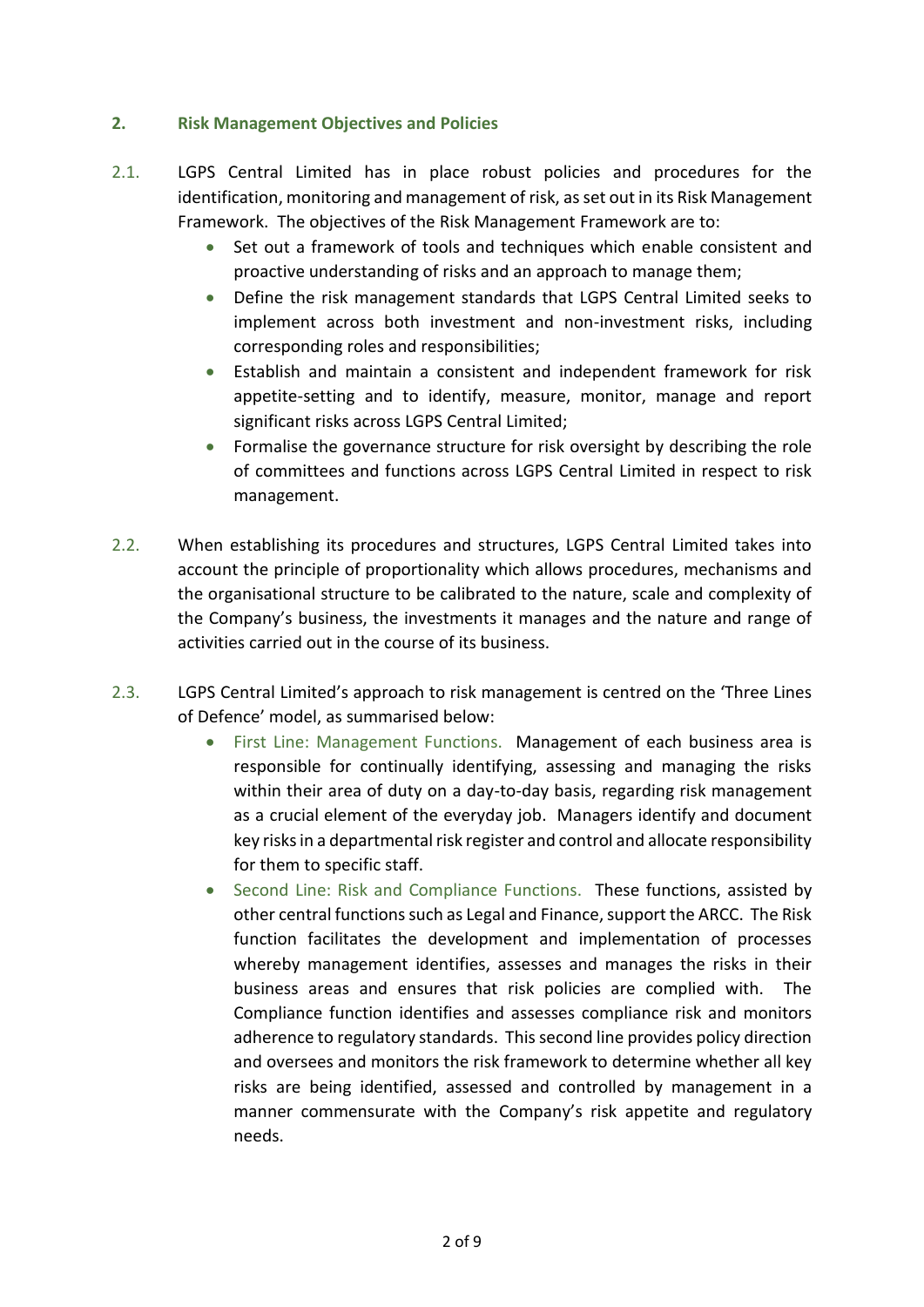# **2. Risk Management Objectives and Policies**

- 2.1. LGPS Central Limited has in place robust policies and procedures for the identification, monitoring and management of risk, as set out in its Risk Management Framework. The objectives of the Risk Management Framework are to:
	- Set out a framework of tools and techniques which enable consistent and proactive understanding of risks and an approach to manage them;
	- Define the risk management standards that LGPS Central Limited seeks to implement across both investment and non-investment risks, including corresponding roles and responsibilities;
	- Establish and maintain a consistent and independent framework for risk appetite-setting and to identify, measure, monitor, manage and report significant risks across LGPS Central Limited;
	- Formalise the governance structure for risk oversight by describing the role of committees and functions across LGPS Central Limited in respect to risk management.
- 2.2. When establishing its procedures and structures, LGPS Central Limited takes into account the principle of proportionality which allows procedures, mechanisms and the organisational structure to be calibrated to the nature, scale and complexity of the Company's business, the investments it manages and the nature and range of activities carried out in the course of its business.
- 2.3. LGPS Central Limited's approach to risk management is centred on the 'Three Lines of Defence' model, as summarised below:
	- First Line: Management Functions. Management of each business area is responsible for continually identifying, assessing and managing the risks within their area of duty on a day-to-day basis, regarding risk management as a crucial element of the everyday job. Managers identify and document key risks in a departmental risk register and control and allocate responsibility for them to specific staff.
	- Second Line: Risk and Compliance Functions. These functions, assisted by other central functions such as Legal and Finance, support the ARCC. The Risk function facilitates the development and implementation of processes whereby management identifies, assesses and manages the risks in their business areas and ensures that risk policies are complied with. The Compliance function identifies and assesses compliance risk and monitors adherence to regulatory standards. This second line provides policy direction and oversees and monitors the risk framework to determine whether all key risks are being identified, assessed and controlled by management in a manner commensurate with the Company's risk appetite and regulatory needs.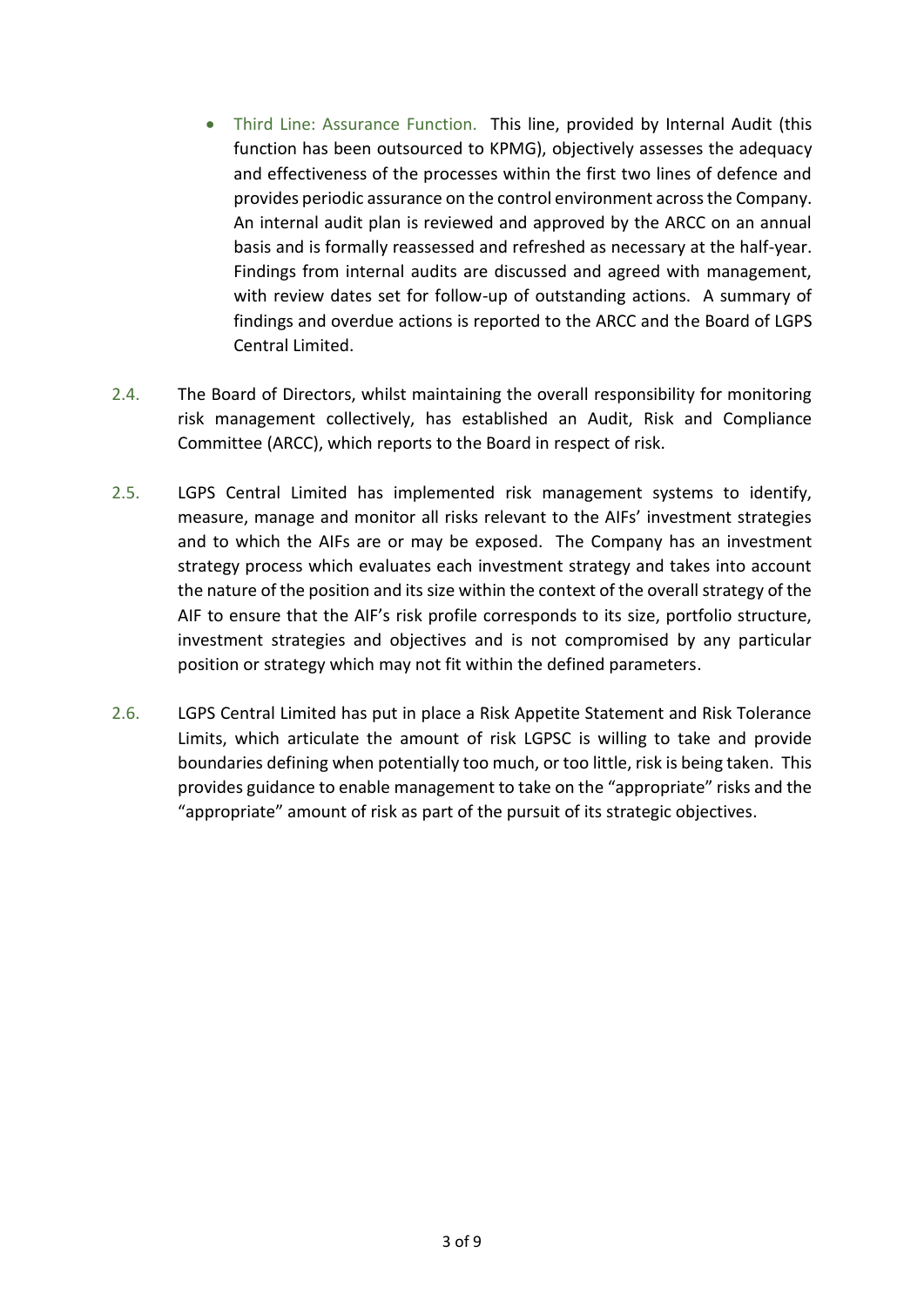- Third Line: Assurance Function. This line, provided by Internal Audit (this function has been outsourced to KPMG), objectively assesses the adequacy and effectiveness of the processes within the first two lines of defence and provides periodic assurance on the control environment across the Company. An internal audit plan is reviewed and approved by the ARCC on an annual basis and is formally reassessed and refreshed as necessary at the half-year. Findings from internal audits are discussed and agreed with management, with review dates set for follow-up of outstanding actions. A summary of findings and overdue actions is reported to the ARCC and the Board of LGPS Central Limited.
- 2.4. The Board of Directors, whilst maintaining the overall responsibility for monitoring risk management collectively, has established an Audit, Risk and Compliance Committee (ARCC), which reports to the Board in respect of risk.
- 2.5. LGPS Central Limited has implemented risk management systems to identify, measure, manage and monitor all risks relevant to the AIFs' investment strategies and to which the AIFs are or may be exposed. The Company has an investment strategy process which evaluates each investment strategy and takes into account the nature of the position and its size within the context of the overall strategy of the AIF to ensure that the AIF's risk profile corresponds to its size, portfolio structure, investment strategies and objectives and is not compromised by any particular position or strategy which may not fit within the defined parameters.
- 2.6. LGPS Central Limited has put in place a Risk Appetite Statement and Risk Tolerance Limits, which articulate the amount of risk LGPSC is willing to take and provide boundaries defining when potentially too much, or too little, risk is being taken. This provides guidance to enable management to take on the "appropriate" risks and the "appropriate" amount of risk as part of the pursuit of its strategic objectives.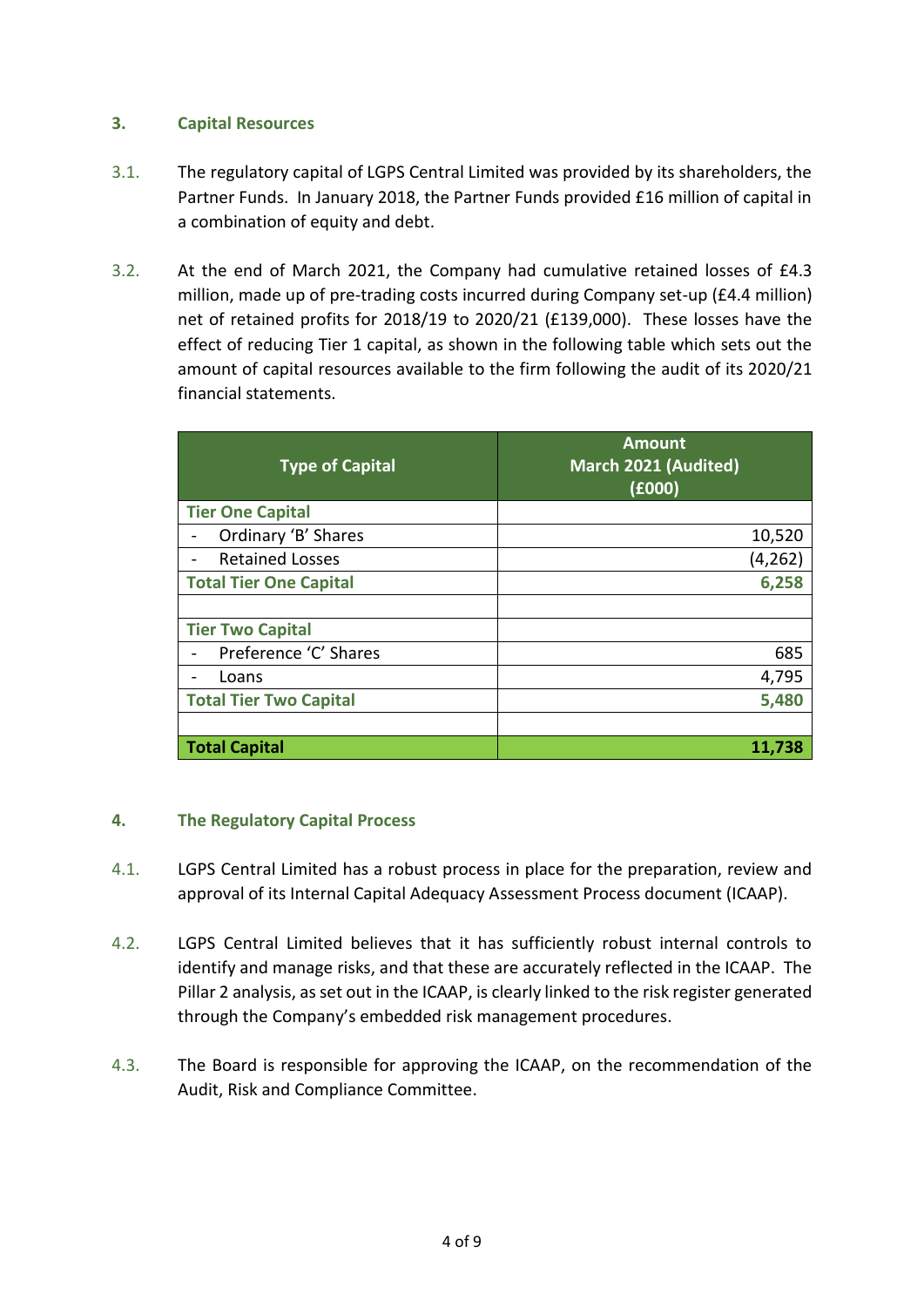# **3. Capital Resources**

- 3.1. The regulatory capital of LGPS Central Limited was provided by its shareholders, the Partner Funds. In January 2018, the Partner Funds provided £16 million of capital in a combination of equity and debt.
- 3.2. At the end of March 2021, the Company had cumulative retained losses of £4.3 million, made up of pre-trading costs incurred during Company set-up (£4.4 million) net of retained profits for 2018/19 to 2020/21 (£139,000). These losses have the effect of reducing Tier 1 capital, as shown in the following table which sets out the amount of capital resources available to the firm following the audit of its 2020/21 financial statements.

| <b>Type of Capital</b>        | <b>Amount</b><br>March 2021 (Audited)<br>(6000) |
|-------------------------------|-------------------------------------------------|
| <b>Tier One Capital</b>       |                                                 |
| Ordinary 'B' Shares           | 10,520                                          |
| <b>Retained Losses</b>        | (4, 262)                                        |
| <b>Total Tier One Capital</b> | 6,258                                           |
|                               |                                                 |
| <b>Tier Two Capital</b>       |                                                 |
| Preference 'C' Shares         | 685                                             |
| Loans                         | 4,795                                           |
| <b>Total Tier Two Capital</b> | 5,480                                           |
|                               |                                                 |
| <b>Total Capital</b>          | 11.738                                          |

# **4. The Regulatory Capital Process**

- 4.1. LGPS Central Limited has a robust process in place for the preparation, review and approval of its Internal Capital Adequacy Assessment Process document (ICAAP).
- 4.2. LGPS Central Limited believes that it has sufficiently robust internal controls to identify and manage risks, and that these are accurately reflected in the ICAAP. The Pillar 2 analysis, as set out in the ICAAP, is clearly linked to the risk register generated through the Company's embedded risk management procedures.
- 4.3. The Board is responsible for approving the ICAAP, on the recommendation of the Audit, Risk and Compliance Committee.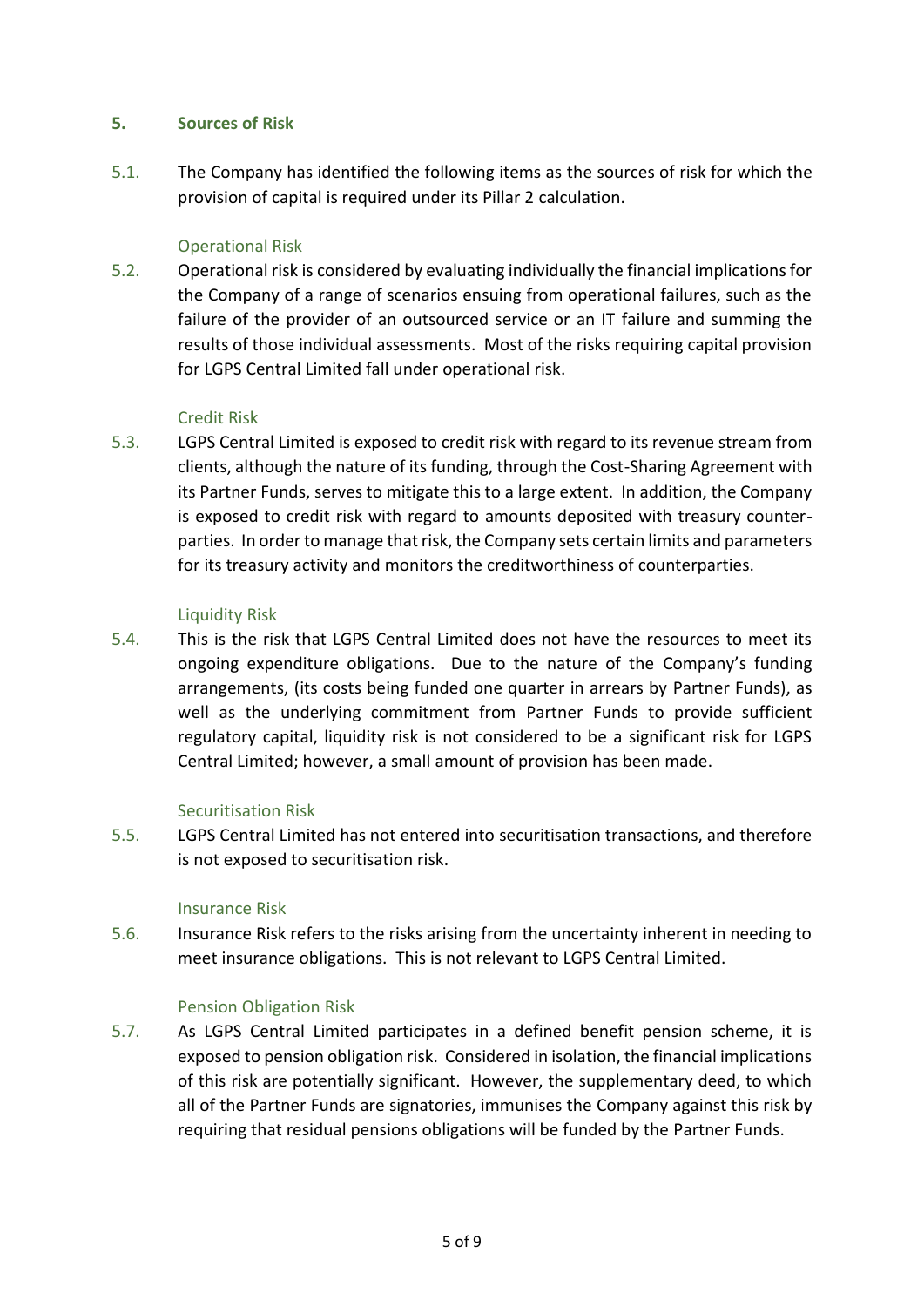## **5. Sources of Risk**

5.1. The Company has identified the following items as the sources of risk for which the provision of capital is required under its Pillar 2 calculation.

## Operational Risk

5.2. Operational risk is considered by evaluating individually the financial implications for the Company of a range of scenarios ensuing from operational failures, such as the failure of the provider of an outsourced service or an IT failure and summing the results of those individual assessments. Most of the risks requiring capital provision for LGPS Central Limited fall under operational risk.

## Credit Risk

5.3. LGPS Central Limited is exposed to credit risk with regard to its revenue stream from clients, although the nature of its funding, through the Cost-Sharing Agreement with its Partner Funds, serves to mitigate this to a large extent. In addition, the Company is exposed to credit risk with regard to amounts deposited with treasury counterparties. In order to manage that risk, the Company sets certain limits and parameters for its treasury activity and monitors the creditworthiness of counterparties.

## Liquidity Risk

5.4. This is the risk that LGPS Central Limited does not have the resources to meet its ongoing expenditure obligations. Due to the nature of the Company's funding arrangements, (its costs being funded one quarter in arrears by Partner Funds), as well as the underlying commitment from Partner Funds to provide sufficient regulatory capital, liquidity risk is not considered to be a significant risk for LGPS Central Limited; however, a small amount of provision has been made.

# Securitisation Risk

5.5. LGPS Central Limited has not entered into securitisation transactions, and therefore is not exposed to securitisation risk.

#### Insurance Risk

5.6. Insurance Risk refers to the risks arising from the uncertainty inherent in needing to meet insurance obligations. This is not relevant to LGPS Central Limited.

# Pension Obligation Risk

5.7. As LGPS Central Limited participates in a defined benefit pension scheme, it is exposed to pension obligation risk. Considered in isolation, the financial implications of this risk are potentially significant. However, the supplementary deed, to which all of the Partner Funds are signatories, immunises the Company against this risk by requiring that residual pensions obligations will be funded by the Partner Funds.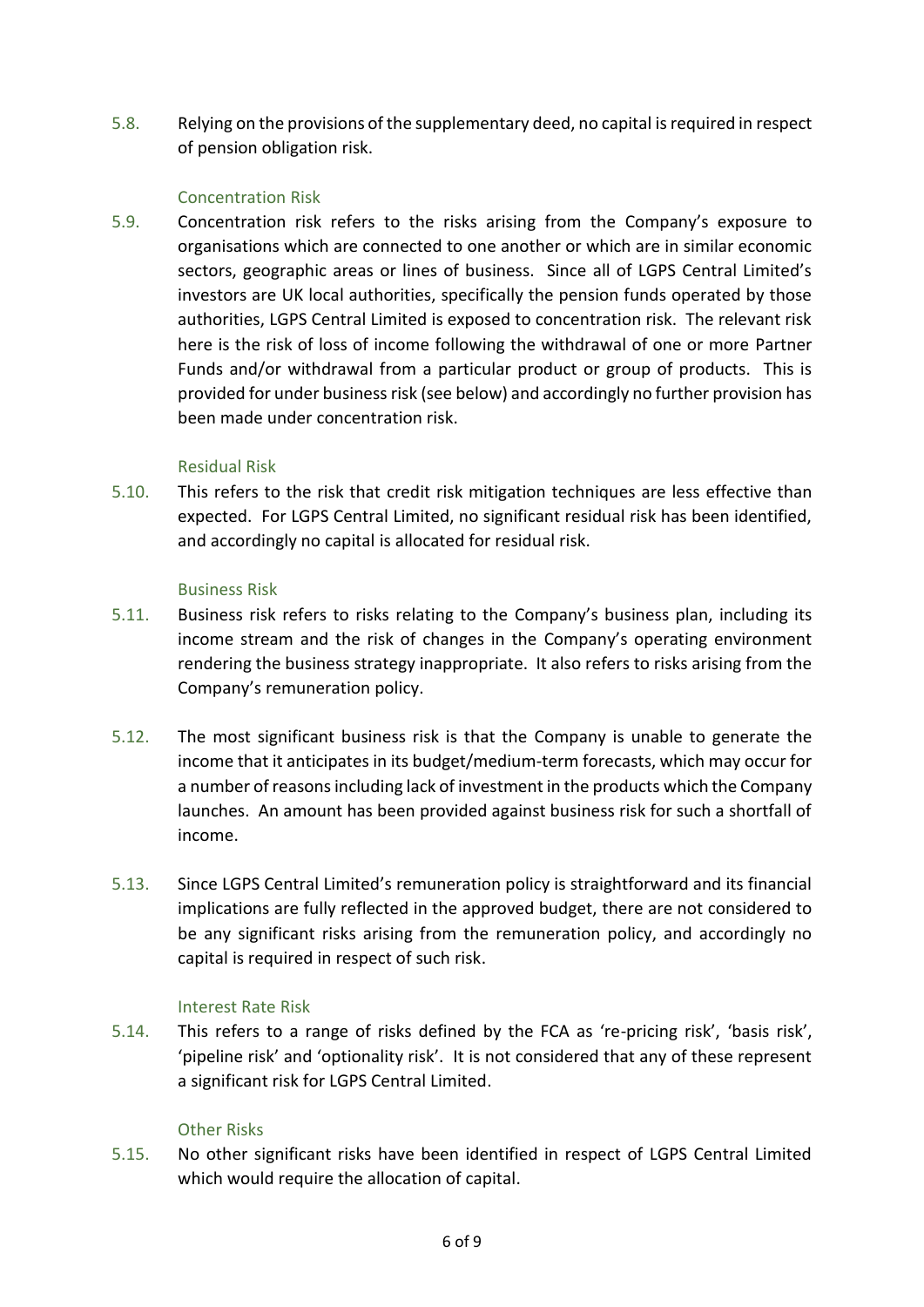5.8. Relying on the provisions of the supplementary deed, no capital is required in respect of pension obligation risk.

## Concentration Risk

5.9. Concentration risk refers to the risks arising from the Company's exposure to organisations which are connected to one another or which are in similar economic sectors, geographic areas or lines of business. Since all of LGPS Central Limited's investors are UK local authorities, specifically the pension funds operated by those authorities, LGPS Central Limited is exposed to concentration risk. The relevant risk here is the risk of loss of income following the withdrawal of one or more Partner Funds and/or withdrawal from a particular product or group of products. This is provided for under business risk (see below) and accordingly no further provision has been made under concentration risk.

## Residual Risk

5.10. This refers to the risk that credit risk mitigation techniques are less effective than expected. For LGPS Central Limited, no significant residual risk has been identified, and accordingly no capital is allocated for residual risk.

## Business Risk

- 5.11. Business risk refers to risks relating to the Company's business plan, including its income stream and the risk of changes in the Company's operating environment rendering the business strategy inappropriate. It also refers to risks arising from the Company's remuneration policy.
- 5.12. The most significant business risk is that the Company is unable to generate the income that it anticipates in its budget/medium-term forecasts, which may occur for a number of reasons including lack of investment in the products which the Company launches. An amount has been provided against business risk for such a shortfall of income.
- 5.13. Since LGPS Central Limited's remuneration policy is straightforward and its financial implications are fully reflected in the approved budget, there are not considered to be any significant risks arising from the remuneration policy, and accordingly no capital is required in respect of such risk.

# Interest Rate Risk

5.14. This refers to a range of risks defined by the FCA as 're-pricing risk', 'basis risk', 'pipeline risk' and 'optionality risk'. It is not considered that any of these represent a significant risk for LGPS Central Limited.

#### Other Risks

5.15. No other significant risks have been identified in respect of LGPS Central Limited which would require the allocation of capital.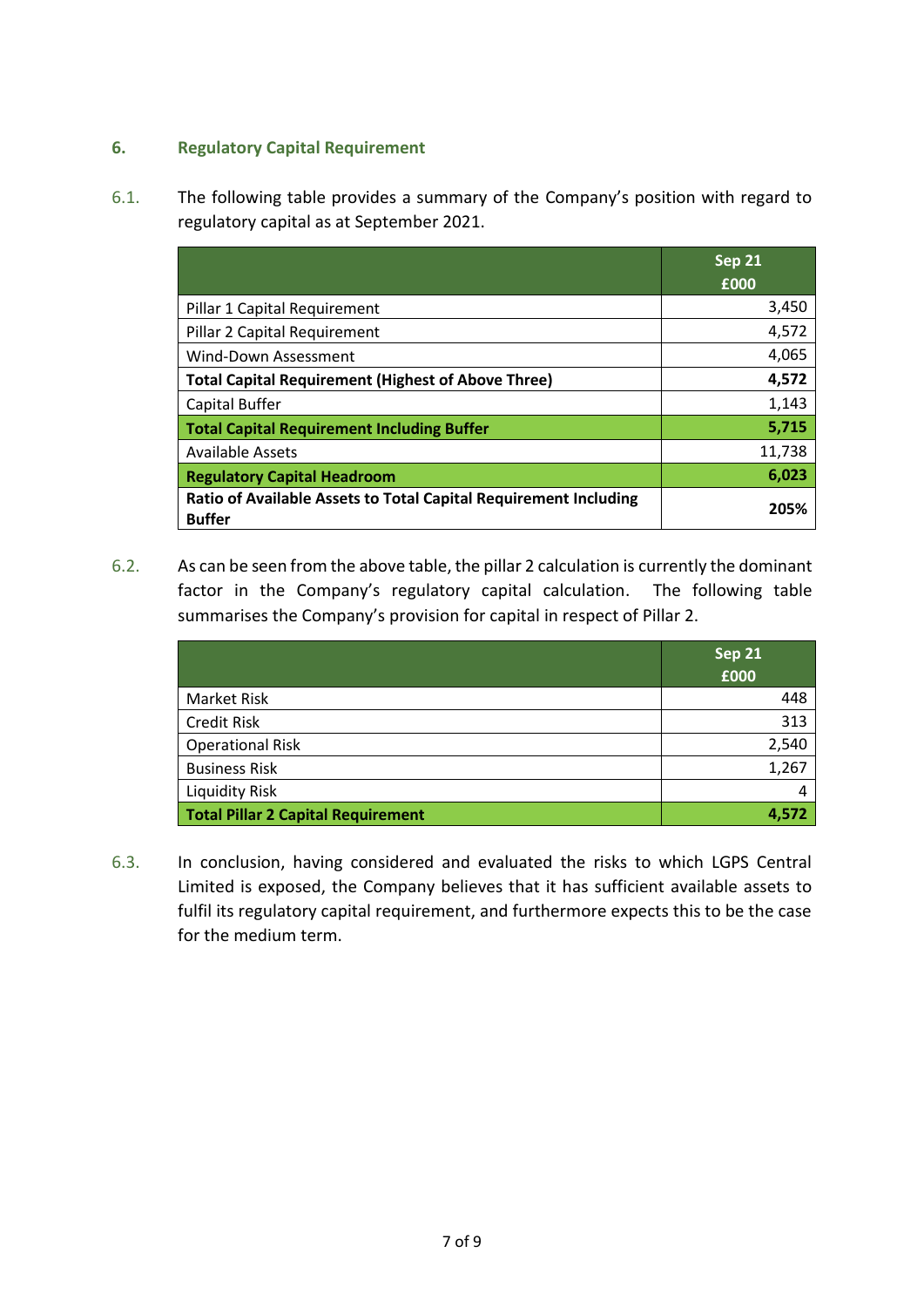# **6. Regulatory Capital Requirement**

6.1. The following table provides a summary of the Company's position with regard to regulatory capital as at September 2021.

|                                                                                          | <b>Sep 21</b><br>£000 |
|------------------------------------------------------------------------------------------|-----------------------|
| Pillar 1 Capital Requirement                                                             | 3,450                 |
| Pillar 2 Capital Requirement                                                             | 4,572                 |
| Wind-Down Assessment                                                                     | 4,065                 |
| <b>Total Capital Requirement (Highest of Above Three)</b>                                | 4,572                 |
| Capital Buffer                                                                           | 1,143                 |
| <b>Total Capital Requirement Including Buffer</b>                                        | 5,715                 |
| <b>Available Assets</b>                                                                  | 11,738                |
| <b>Regulatory Capital Headroom</b>                                                       | 6,023                 |
| <b>Ratio of Available Assets to Total Capital Requirement Including</b><br><b>Buffer</b> | 205%                  |

6.2. As can be seen from the above table, the pillar 2 calculation is currently the dominant factor in the Company's regulatory capital calculation. The following table summarises the Company's provision for capital in respect of Pillar 2.

|                                           | Sep 21<br>£000 |
|-------------------------------------------|----------------|
| <b>Market Risk</b>                        | 448            |
| <b>Credit Risk</b>                        | 313            |
| <b>Operational Risk</b>                   | 2,540          |
| <b>Business Risk</b>                      | 1,267          |
| <b>Liquidity Risk</b>                     | 4              |
| <b>Total Pillar 2 Capital Requirement</b> | 4,572          |

6.3. In conclusion, having considered and evaluated the risks to which LGPS Central Limited is exposed, the Company believes that it has sufficient available assets to fulfil its regulatory capital requirement, and furthermore expects this to be the case for the medium term.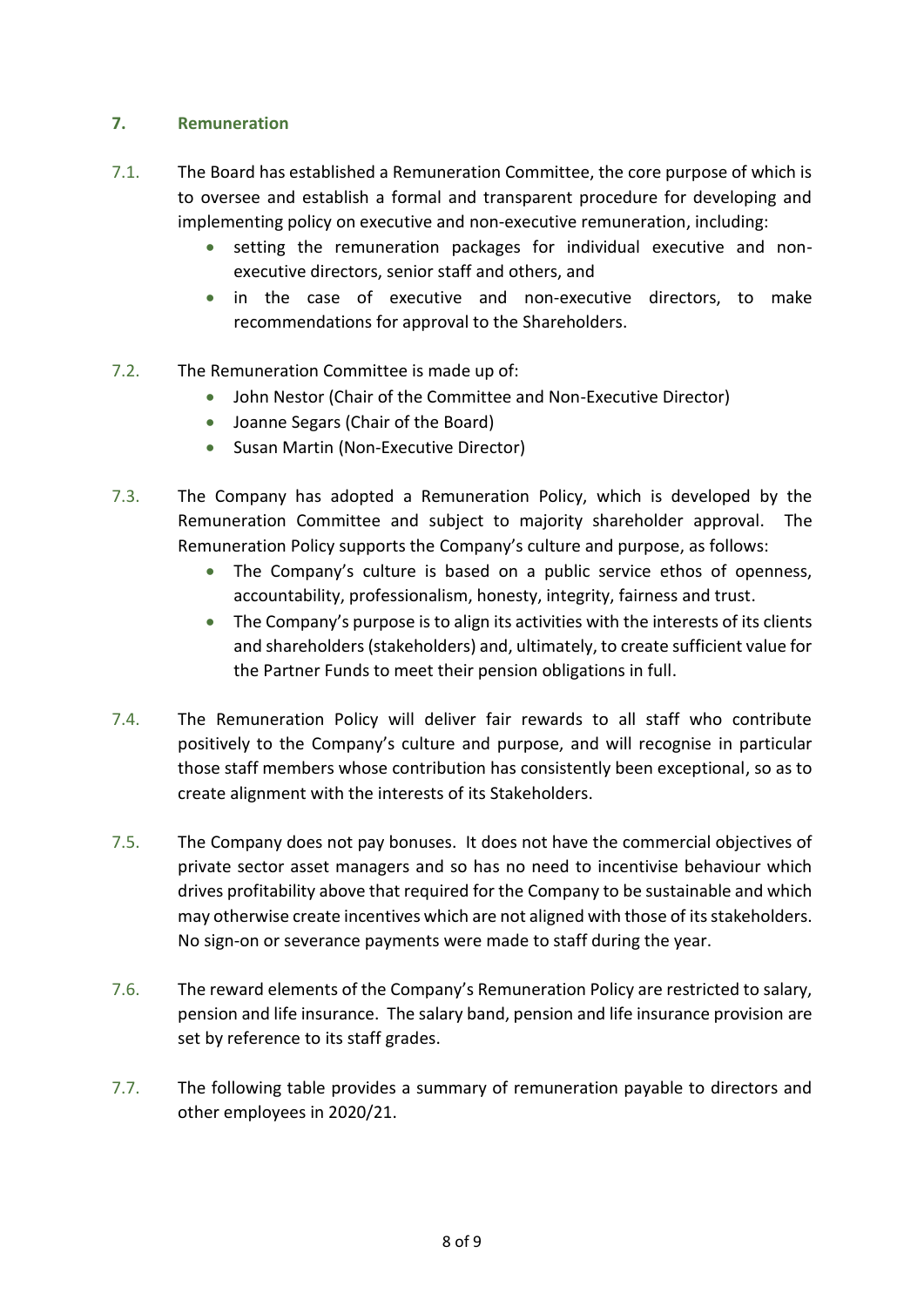# **7. Remuneration**

- 7.1. The Board has established a Remuneration Committee, the core purpose of which is to oversee and establish a formal and transparent procedure for developing and implementing policy on executive and non-executive remuneration, including:
	- setting the remuneration packages for individual executive and nonexecutive directors, senior staff and others, and
	- in the case of executive and non-executive directors, to make recommendations for approval to the Shareholders.
- 7.2. The Remuneration Committee is made up of:
	- John Nestor (Chair of the Committee and Non-Executive Director)
	- Joanne Segars (Chair of the Board)
	- Susan Martin (Non-Executive Director)
- 7.3. The Company has adopted a Remuneration Policy, which is developed by the Remuneration Committee and subject to majority shareholder approval. The Remuneration Policy supports the Company's culture and purpose, as follows:
	- The Company's culture is based on a public service ethos of openness, accountability, professionalism, honesty, integrity, fairness and trust.
	- The Company's purpose is to align its activities with the interests of its clients and shareholders (stakeholders) and, ultimately, to create sufficient value for the Partner Funds to meet their pension obligations in full.
- 7.4. The Remuneration Policy will deliver fair rewards to all staff who contribute positively to the Company's culture and purpose, and will recognise in particular those staff members whose contribution has consistently been exceptional, so as to create alignment with the interests of its Stakeholders.
- 7.5. The Company does not pay bonuses. It does not have the commercial objectives of private sector asset managers and so has no need to incentivise behaviour which drives profitability above that required for the Company to be sustainable and which may otherwise create incentives which are not aligned with those of its stakeholders. No sign-on or severance payments were made to staff during the year.
- 7.6. The reward elements of the Company's Remuneration Policy are restricted to salary, pension and life insurance. The salary band, pension and life insurance provision are set by reference to its staff grades.
- 7.7. The following table provides a summary of remuneration payable to directors and other employees in 2020/21.